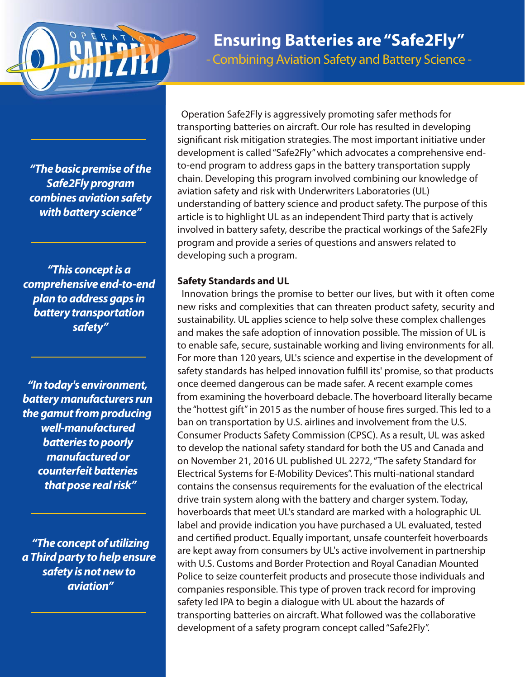

**Ensuring Batteries are "Safe2Fly"** - Combining Aviation Safety and Battery Science -

*"The basic premise of the Safe2Fly program combines aviation safety with battery science"*

*"This concept is a comprehensive end-to-end plan to address gaps in battery transportation safety"*

*"In today's environment, battery manufacturers run the gamut from producing well-manufactured batteries to poorly manufactured or counterfeit batteries that pose real risk"*

*"The concept of utilizing a Third party to help ensure safety is not new to aviation"*

Operation Safe2Fly is aggressively promoting safer methods for transporting batteries on aircraft. Our role has resulted in developing significant risk mitigation strategies. The most important initiative under development is called "Safe2Fly" which advocates a comprehensive endto-end program to address gaps in the battery transportation supply chain. Developing this program involved combining our knowledge of aviation safety and risk with Underwriters Laboratories (UL) understanding of battery science and product safety. The purpose of this article is to highlight UL as an independent Third party that is actively involved in battery safety, describe the practical workings of the Safe2Fly program and provide a series of questions and answers related to developing such a program.

#### **Safety Standards and UL**

Innovation brings the promise to better our lives, but with it often come new risks and complexities that can threaten product safety, security and sustainability. UL applies science to help solve these complex challenges and makes the safe adoption of innovation possible. The mission of UL is to enable safe, secure, sustainable working and living environments for all. For more than 120 years, UL's science and expertise in the development of safety standards has helped innovation fulfill its' promise, so that products once deemed dangerous can be made safer. A recent example comes from examining the hoverboard debacle. The hoverboard literally became the "hottest gift" in 2015 as the number of house fires surged. This led to a ban on transportation by U.S. airlines and involvement from the U.S. Consumer Products Safety Commission (CPSC). As a result, UL was asked to develop the national safety standard for both the US and Canada and on November 21, 2016 UL published UL 2272, "The safety Standard for Electrical Systems for E-Mobility Devices". This multi-national standard contains the consensus requirements for the evaluation of the electrical drive train system along with the battery and charger system. Today, hoverboards that meet UL's standard are marked with a holographic UL label and provide indication you have purchased a UL evaluated, tested and certified product. Equally important, unsafe counterfeit hoverboards are kept away from consumers by UL's active involvement in partnership with U.S. Customs and Border Protection and Royal Canadian Mounted Police to seize counterfeit products and prosecute those individuals and companies responsible. This type of proven track record for improving safety led IPA to begin a dialogue with UL about the hazards of transporting batteries on aircraft. What followed was the collaborative development of a safety program concept called "Safe2Fly".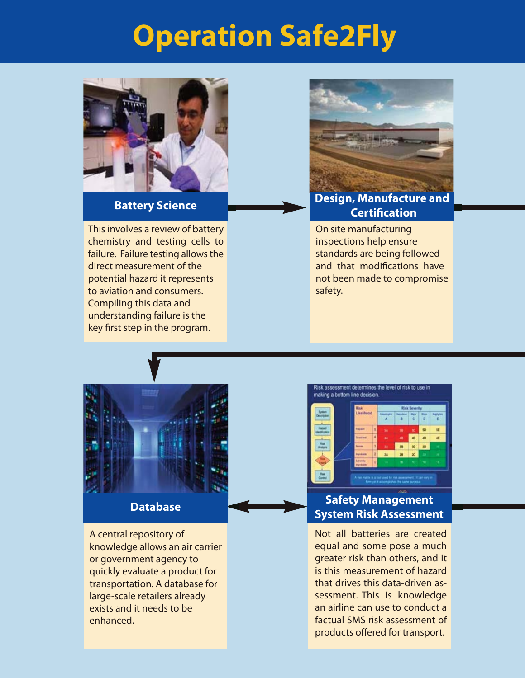# **Operation Safe2Fly**



#### **Battery Science**

This involves a review of battery chemistry and testing cells to failure. Failure testing allows the direct measurement of the potential hazard it represents to aviation and consumers. Compiling this data and understanding failure is the key first step in the program.



#### **Design, Manufacture and Certification**

On site manufacturing inspections help ensure standards are being followed and that modifications have not been made to compromise safety.



A central repository of knowledge allows an air carrier or government agency to quickly evaluate a product for transportation. A database for large-scale retailers already exists and it needs to be enhanced.



#### **Database Safety Management System Risk Assessment**

Not all batteries are created equal and some pose a much greater risk than others, and it is this measurement of hazard that drives this data-driven assessment. This is knowledge an airline can use to conduct a factual SMS risk assessment of products offered for transport.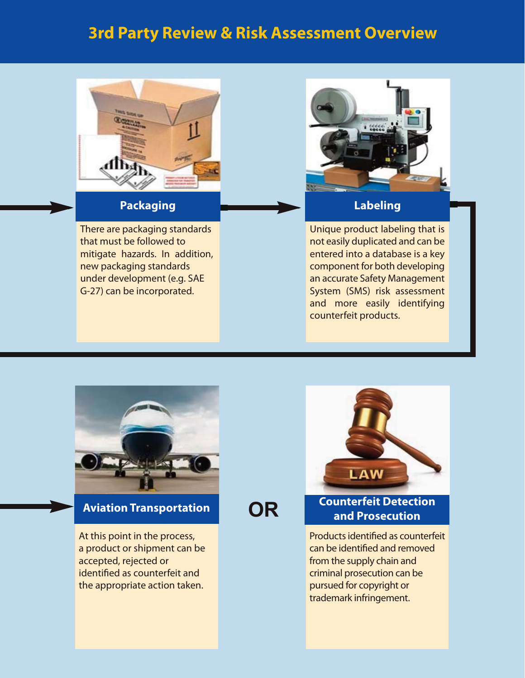### **3rd Party Review & Risk Assessment Overview**



#### **Packaging**

There are packaging standards that must be followed to mitigate hazards. In addition, new packaging standards under development (e.g. SAE G-27) can be incorporated.



#### **Labeling**

Unique product labeling that is not easily duplicated and can be entered into a database is a key component for both developing an accurate Safety Management System (SMS) risk assessment and more easily identifying counterfeit products.



#### **Aviation Transportation**

At this point in the process, a product or shipment can be accepted, rejected or identified as counterfeit and the appropriate action taken.

**OR**



#### **Counterfeit Detection and Prosecution**

Products identified as counterfeit can be identified and removed from the supply chain and criminal prosecution can be pursued for copyright or trademark infringement.